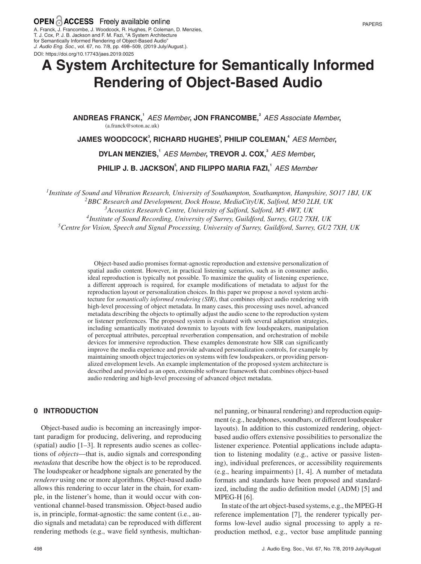# **A System Architecture for Semantically Informed Rendering of Object-Based Audio**

**ANDREAS FRANCK**,<sup>1</sup> AES Member, JON FRANCOMBE,<sup>2</sup> AES Associate Member, (a.franck@soton.ac.uk)

**JAMES WOODCOCK3 , RICHARD HUGHES<sup>3</sup> , PHILIP COLEMAN,<sup>4</sup>** AES Member**, DYLAN MENZIES,1** AES Member**, TREVOR J. COX,<sup>3</sup>** AES Member**,** <code>PHILIP</code> J. B. JACKSON $^5$ , AND FILIPPO MARIA FAZI, $^1$  AES Member

*1Institute of Sound and Vibration Research, University of Southampton, Southampton, Hampshire, SO17 1BJ, UK 2BBC Research and Development, Dock House, MediaCityUK, Salford, M50 2LH, UK 3Acoustics Research Centre, University of Salford, Salford, M5 4WT, UK 4Institute of Sound Recording, University of Surrey, Guildford, Surrey, GU2 7XH, UK 5Centre for Vision, Speech and Signal Processing, University of Surrey, Guildford, Surrey, GU2 7XH, UK*

> Object-based audio promises format-agnostic reproduction and extensive personalization of spatial audio content. However, in practical listening scenarios, such as in consumer audio, ideal reproduction is typically not possible. To maximize the quality of listening experience, a different approach is required, for example modifications of metadata to adjust for the reproduction layout or personalization choices. In this paper we propose a novel system architecture for *semantically informed rendering (SIR)*, that combines object audio rendering with high-level processing of object metadata. In many cases, this processing uses novel, advanced metadata describing the objects to optimally adjust the audio scene to the reproduction system or listener preferences. The proposed system is evaluated with several adaptation strategies, including semantically motivated downmix to layouts with few loudspeakers, manipulation of perceptual attributes, perceptual reverberation compensation, and orchestration of mobile devices for immersive reproduction. These examples demonstrate how SIR can significantly improve the media experience and provide advanced personalization controls, for example by maintaining smooth object trajectories on systems with few loudspeakers, or providing personalized envelopment levels. An example implementation of the proposed system architecture is described and provided as an open, extensible software framework that combines object-based audio rendering and high-level processing of advanced object metadata.

# **0 INTRODUCTION**

Object-based audio is becoming an increasingly important paradigm for producing, delivering, and reproducing (spatial) audio [1–3]. It represents audio scenes as collections of *objects*—that is, audio signals and corresponding *metadata* that describe how the object is to be reproduced. The loudspeaker or headphone signals are generated by the *renderer* using one or more algorithms. Object-based audio allows this rendering to occur later in the chain, for example, in the listener's home, than it would occur with conventional channel-based transmission. Object-based audio is, in principle, format-agnostic: the same content (i.e., audio signals and metadata) can be reproduced with different rendering methods (e.g., wave field synthesis, multichan-

nel panning, or binaural rendering) and reproduction equipment (e.g., headphones, soundbars, or different loudspeaker layouts). In addition to this customized rendering, objectbased audio offers extensive possibilities to personalize the listener experience. Potential applications include adaptation to listening modality (e.g., active or passive listening), individual preferences, or accessibility requirements (e.g., hearing impairments) [1, 4]. A number of metadata formats and standards have been proposed and standardized, including the audio definition model (ADM) [5] and MPEG-H [6].

In state of the art object-based systems, e.g., the MPEG-H reference implementation [7], the renderer typically performs low-level audio signal processing to apply a reproduction method, e.g., vector base amplitude panning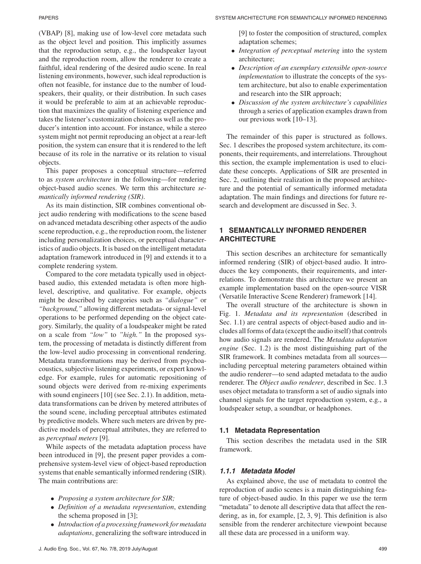(VBAP) [8], making use of low-level core metadata such as the object level and position. This implicitly assumes that the reproduction setup, e.g., the loudspeaker layout and the reproduction room, allow the renderer to create a faithful, ideal rendering of the desired audio scene. In real listening environments, however, such ideal reproduction is often not feasible, for instance due to the number of loudspeakers, their quality, or their distribution. In such cases it would be preferable to aim at an achievable reproduction that maximizes the quality of listening experience and takes the listener's customization choices as well as the producer's intention into account. For instance, while a stereo system might not permit reproducing an object at a rear-left position, the system can ensure that it is rendered to the left because of its role in the narrative or its relation to visual objects.

This paper proposes a conceptual structure—referred to as *system architecture* in the following—for rendering object-based audio scenes. We term this architecture *semantically informed rendering (SIR)*.

As its main distinction, SIR combines conventional object audio rendering with modifications to the scene based on advanced metadata describing other aspects of the audio scene reproduction, e.g., the reproduction room, the listener including personalization choices, or perceptual characteristics of audio objects. It is based on the intelligent metadata adaptation framework introduced in [9] and extends it to a complete rendering system.

Compared to the core metadata typically used in objectbased audio, this extended metadata is often more highlevel, descriptive, and qualitative. For example, objects might be described by categories such as *"dialogue"* or *"background,"* allowing different metadata- or signal-level operations to be performed depending on the object category. Similarly, the quality of a loudspeaker might be rated on a scale from *"low"* to *"high."* In the proposed system, the processing of metadata is distinctly different from the low-level audio processing in conventional rendering. Metadata transformations may be derived from psychoacoustics, subjective listening experiments, or expert knowledge. For example, rules for automatic repositioning of sound objects were derived from re-mixing experiments with sound engineers [10] (see Sec. 2.1). In addition, metadata transformations can be driven by metered attributes of the sound scene, including perceptual attributes estimated by predictive models. Where such meters are driven by predictive models of perceptual attributes, they are referred to as *perceptual meters* [9].

While aspects of the metadata adaptation process have been introduced in [9], the present paper provides a comprehensive system-level view of object-based reproduction systems that enable semantically informed rendering (SIR). The main contributions are:

- *Proposing a system architecture for SIR;*
- *Definition of a metadata representation*, extending the schema proposed in [3];
- *Introduction of a processing framework for metadata adaptations*, generalizing the software introduced in

[9] to foster the composition of structured, complex adaptation schemes;

- *Integration of perceptual metering* into the system architecture;
- *Description of an exemplary extensible open-source implementation* to illustrate the concepts of the system architecture, but also to enable experimentation and research into the SIR approach;
- *Discussion of the system architecture's capabilities* through a series of application examples drawn from our previous work [10–13].

The remainder of this paper is structured as follows. Sec. 1 describes the proposed system architecture, its components, their requirements, and interrelations. Throughout this section, the example implementation is used to elucidate these concepts. Applications of SIR are presented in Sec. 2, outlining their realization in the proposed architecture and the potential of semantically informed metadata adaptation. The main findings and directions for future research and development are discussed in Sec. 3.

# **1 SEMANTICALLY INFORMED RENDERER ARCHITECTURE**

This section describes an architecture for semantically informed rendering (SIR) of object-based audio. It introduces the key components, their requirements, and interrelations. To demonstrate this architecture we present an example implementation based on the open-source VISR (Versatile Interactive Scene Renderer) framework [14].

The overall structure of the architecture is shown in Fig. 1. *Metadata and its representation* (described in Sec. 1.1) are central aspects of object-based audio and includes all forms of data (except the audio itself) that controls how audio signals are rendered. The *Metadata adaptation engine* (Sec. 1.2) is the most distinguishing part of the SIR framework. It combines metadata from all sources including perceptual metering parameters obtained within the audio renderer—to send adapted metadata to the audio renderer. The *Object audio renderer*, described in Sec. 1.3 uses object metadata to transform a set of audio signals into channel signals for the target reproduction system, e.g., a loudspeaker setup, a soundbar, or headphones.

# **1.1 Metadata Representation**

This section describes the metadata used in the SIR framework.

# **1.1.1 Metadata Model**

As explained above, the use of metadata to control the reproduction of audio scenes is a main distinguishing feature of object-based audio. In this paper we use the term "metadata" to denote all descriptive data that affect the rendering, as in, for example, [2, 3, 9]. This definition is also sensible from the renderer architecture viewpoint because all these data are processed in a uniform way.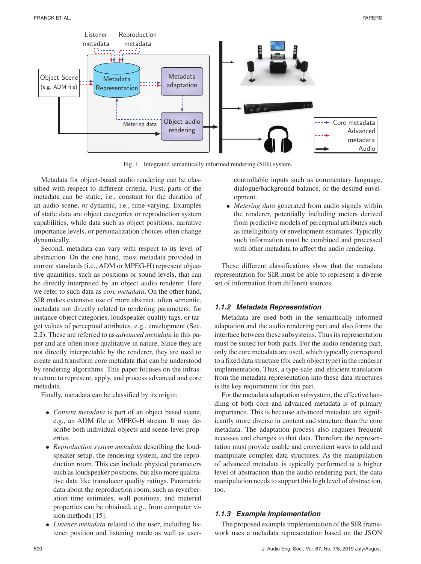

Fig. 1 Integrated semantically informed rendering (SIR) system.

Metadata for object-based audio rendering can be classified with respect to different criteria. First, parts of the metadata can be static, i.e., constant for the duration of an audio scene, or dynamic, i.e., time-varying. Examples of static data are object categories or reproduction system capabilities, while data such as object positions, narrative importance levels, or personalization choices often change dynamically.

Second, metadata can vary with respect to its level of abstraction. On the one hand, most metadata provided in current standards (i.e., ADM or MPEG-H) represent objective quantities, such as positions or sound levels, that can be directly interpreted by an object audio renderer. Here we refer to such data as *core metadata*. On the other hand, SIR makes extensive use of more abstract, often semantic, metadata not directly related to rendering parameters; for instance object categories, loudspeaker quality tags, or target values of perceptual attributes, e.g., envelopment (Sec. 2.2). These are referred to as *advanced metadata* in this paper and are often more qualitative in nature. Since they are not directly interpretable by the renderer, they are used to create and transform core metadata that can be understood by rendering algorithms. This paper focuses on the infrastructure to represent, apply, and process advanced and core metadata.

Finally, metadata can be classified by its origin:

- *Content metadata* is part of an object based scene, e.g., an ADM file or MPEG-H stream. It may describe both individual objects and scene-level properties.
- *Reproduction system metadata* describing the loudspeaker setup, the rendering system, and the reproduction room. This can include physical parameters such as loudspeaker positions, but also more qualitative data like transducer quality ratings. Parametric data about the reproduction room, such as reverberation time estimates, wall positions, and material properties can be obtained, e.g., from computer vision methods [15].
- *Listener metadata* related to the user, including listener position and listening mode as well as user-

controllable inputs such as commentary language, dialogue/background balance, or the desired envelopment.

• *Metering data* generated from audio signals within the renderer, potentially including meters derived from predictive models of perceptual attributes such as intelligibility or envelopment estimates. Typically such information must be combined and processed with other metadata to affect the audio rendering.

These different classifications show that the metadata representation for SIR must be able to represent a diverse set of information from different sources.

# **1.1.2 Metadata Representation**

Metadata are used both in the semantically informed adaptation and the audio rendering part and also forms the interface between these subsystems. Thus its representation must be suited for both parts. For the audio rendering part, only the core metadata are used, which typically correspond to a fixed data structure (for each object type) in the renderer implementation. Thus, a type-safe and efficient translation from the metadata representation into these data structures is the key requirement for this part.

For the metadata adaptation subsystem, the effective handling of both core and advanced metadata is of primary importance. This is because advanced metadata are significantly more diverse in content and structure than the core metadata. The adaptation process also requires frequent accesses and changes to that data. Therefore the representation must provide usable and convenient ways to add and manipulate complex data structures. As the manipulation of advanced metadata is typically performed at a higher level of abstraction than the audio rendering part, the data manipulation needs to support this high level of abstraction, too.

# **1.1.3 Example Implementation**

The proposed example implementation of the SIR framework uses a metadata representation based on the JSON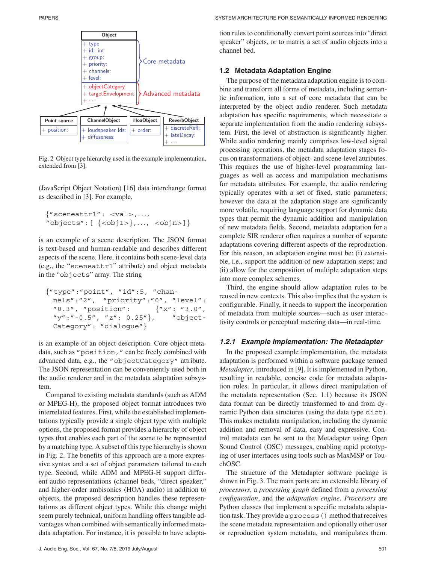

Fig. 2 Object type hierarchy used in the example implementation, extended from [3].

(JavaScript Object Notation) [16] data interchange format as described in [3]. For example,

```
\{"sceneattr1": <val>,...,
"objects": [ \{ <\text{obj1}> \}, \ldots, \{ <\text{objn>} \} \}
```
is an example of a scene description. The JSON format is text-based and human-readable and describes different aspects of the scene. Here, it contains both scene-level data (e.g., the "sceneattr1" attribute) and object metadata in the "objects" array. The string

```
{"type":"point", "id":5, "chan-
 nels":"2", "priority":"0", "level":
 "0.3", "position": {"x": "3.0",
 "y":"-0.5", "z": 0.25"}, "object-
 Category": "dialogue"}
```
is an example of an object description. Core object metadata, such as "position," can be freely combined with advanced data, e.g., the "objectCategory" attribute. The JSON representation can be conveniently used both in the audio renderer and in the metadata adaptation subsystem.

Compared to existing metadata standards (such as ADM or MPEG-H), the proposed object format introduces two interrelated features. First, while the established implementations typically provide a single object type with multiple options, the proposed format provides a hierarchy of object types that enables each part of the scene to be represented by a matching type. A subset of this type hierarchy is shown in Fig. 2. The benefits of this approach are a more expressive syntax and a set of object parameters tailored to each type. Second, while ADM and MPEG-H support different audio representations (channel beds, "direct speaker," and higher-order ambisonics (HOA) audio) in addition to objects, the proposed description handles these representations as different object types. While this change might seem purely technical, uniform handling offers tangible advantages when combined with semantically informed metadata adaptation. For instance, it is possible to have adaptation rules to conditionally convert point sources into "direct speaker" objects, or to matrix a set of audio objects into a channel bed.

#### **1.2 Metadata Adaptation Engine**

The purpose of the metadata adaptation engine is to combine and transform all forms of metadata, including semantic information, into a set of core metadata that can be interpreted by the object audio renderer. Such metadata adaptation has specific requirements, which necessitate a separate implementation from the audio rendering subsystem. First, the level of abstraction is significantly higher. While audio rendering mainly comprises low-level signal processing operations, the metadata adaptation stages focus on transformations of object- and scene-level attributes. This requires the use of higher-level programming languages as well as access and manipulation mechanisms for metadata attributes. For example, the audio rendering typically operates with a set of fixed, static parameters; however the data at the adaptation stage are significantly more volatile, requiring language support for dynamic data types that permit the dynamic addition and manipulation of new metadata fields. Second, metadata adaptation for a complete SIR renderer often requires a number of separate adaptations covering different aspects of the reproduction. For this reason, an adaptation engine must be: (i) extensible, i.e., support the addition of new adaptation steps; and (ii) allow for the composition of multiple adaptation steps into more complex schemes.

Third, the engine should allow adaptation rules to be reused in new contexts. This also implies that the system is configurable. Finally, it needs to support the incorporation of metadata from multiple sources—such as user interactivity controls or perceptual metering data—in real-time.

#### **1.2.1 Example Implementation: The Metadapter**

In the proposed example implementation, the metadata adaptation is performed within a software package termed *Metadapter*, introduced in [9]. It is implemented in Python, resulting in readable, concise code for metadata adaptation rules. In particular, it allows direct manipulation of the metadata representation (Sec. 1.1) because its JSON data format can be directly transformed to and from dynamic Python data structures (using the data type dict). This makes metadata manipulation, including the dynamic addition and removal of data, easy and expressive. Control metadata can be sent to the Metadapter using Open Sound Control (OSC) messages, enabling rapid prototyping of user interfaces using tools such as MaxMSP or TouchOSC.

The structure of the Metadapter software package is shown in Fig. 3. The main parts are an extensible library of *processors*, a *processing graph* defined from a *processing configuration*, and the *adaptation engine*. *Processors* are Python classes that implement a specific metadata adaptation task. They provide a process() method that receives the scene metadata representation and optionally other user or reproduction system metadata, and manipulates them.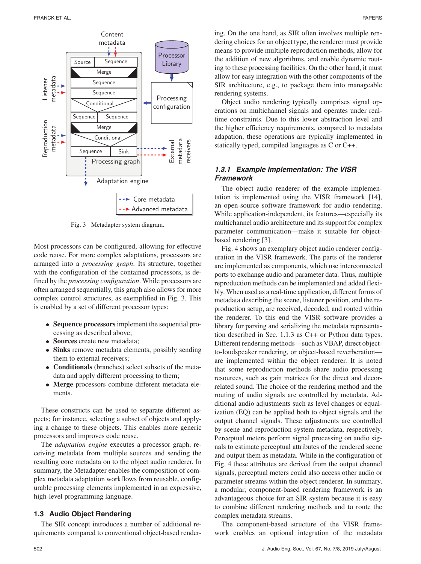

Fig. 3 Metadapter system diagram.

Most processors can be configured, allowing for effective code reuse. For more complex adaptations, processors are arranged into a *processing graph*. Its structure, together with the configuration of the contained processors, is defined by the *processing configuration*. While processors are often arranged sequentially, this graph also allows for more complex control structures, as exemplified in Fig. 3. This is enabled by a set of different processor types:

- **Sequence processors** implement the sequential processing as described above;
- **Sources** create new metadata;
- **Sinks** remove metadata elements, possibly sending them to external receivers;
- **Conditionals** (branches) select subsets of the metadata and apply different processing to them;
- **Merge** processors combine different metadata elements.

These constructs can be used to separate different aspects; for instance, selecting a subset of objects and applying a change to these objects. This enables more generic processors and improves code reuse.

The *adaptation engine* executes a processor graph, receiving metadata from multiple sources and sending the resulting core metadata on to the object audio renderer. In summary, the Metadapter enables the composition of complex metadata adaptation workflows from reusable, configurable processing elements implemented in an expressive, high-level programming language.

## **1.3 Audio Object Rendering**

The SIR concept introduces a number of additional requirements compared to conventional object-based rendering. On the one hand, as SIR often involves multiple rendering choices for an object type, the renderer must provide means to provide multiple reproduction methods, allow for the addition of new algorithms, and enable dynamic routing to these processing facilities. On the other hand, it must allow for easy integration with the other components of the SIR architecture, e.g., to package them into manageable rendering systems.

Object audio rendering typically comprises signal operations on multichannel signals and operates under realtime constraints. Due to this lower abstraction level and the higher efficiency requirements, compared to metadata adapation, these operations are typically implemented in statically typed, compiled languages as C or C++.

## **1.3.1 Example Implementation: The VISR Framework**

The object audio renderer of the example implementation is implemented using the VISR framework [14], an open-source software framework for audio rendering. While application-independent, its features—especially its multichannel audio architecture and its support for complex parameter communication—make it suitable for objectbased rendering [3].

Fig. 4 shows an exemplary object audio renderer configuration in the VISR framework. The parts of the renderer are implemented as components, which use interconnected ports to exchange audio and parameter data. Thus, multiple reproduction methods can be implemented and added flexibly. When used as a real-time application, different forms of metadata describing the scene, listener position, and the reproduction setup, are received, decoded, and routed within the renderer. To this end the VISR software provides a library for parsing and serializing the metadata representation described in Sec. 1.1.3 as C++ or Python data types. Different rendering methods—such as VBAP, direct objectto-loudspeaker rendering, or object-based reverberation are implemented within the object renderer. It is noted that some reproduction methods share audio processing resources, such as gain matrices for the direct and decorrelated sound. The choice of the rendering method and the routing of audio signals are controlled by metadata. Additional audio adjustments such as level changes or equalization (EQ) can be applied both to object signals and the output channel signals. These adjustments are controlled by scene and reproduction system metadata, respectively. Perceptual meters perform signal processing on audio signals to estimate perceptual attributes of the rendered scene and output them as metadata. While in the configuration of Fig. 4 these attributes are derived from the output channel signals, perceptual meters could also access other audio or parameter streams within the object renderer. In summary, a modular, component-based rendering framework is an advantageous choice for an SIR system because it is easy to combine different rendering methods and to route the complex metadata streams.

The component-based structure of the VISR framework enables an optional integration of the metadata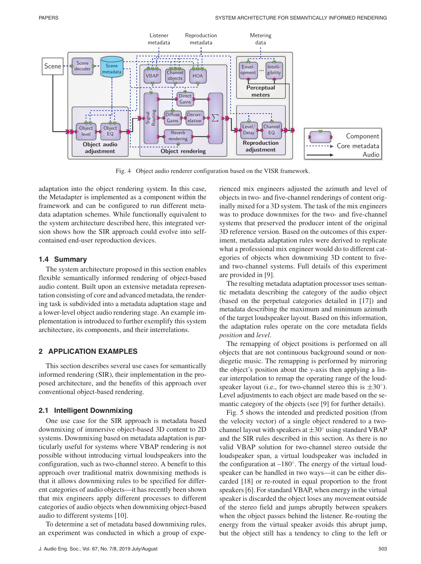

Fig. 4 Object audio renderer configuration based on the VISR framework.

adaptation into the object rendering system. In this case, the Metadapter is implemented as a component within the framework and can be configured to run different metadata adaptation schemes. While functionally equivalent to the system architecture described here, this integrated version shows how the SIR approach could evolve into selfcontained end-user reproduction devices.

#### **1.4 Summary**

The system architecture proposed in this section enables flexible semantically informed rendering of object-based audio content. Built upon an extensive metadata representation consisting of core and advanced metadata, the rendering task is subdivided into a metadata adaptation stage and a lower-level object audio rendering stage. An example implementation is introduced to further exemplify this system architecture, its components, and their interrelations.

## **2 APPLICATION EXAMPLES**

This section describes several use cases for semantically informed rendering (SIR), their implementation in the proposed architecture, and the benefits of this approach over conventional object-based rendering.

#### **2.1 Intelligent Downmixing**

One use case for the SIR approach is metadata based downmixing of immersive object-based 3D content to 2D systems. Downmixing based on metadata adaptation is particularly useful for systems where VBAP rendering is not possible without introducing virtual loudspeakers into the configuration, such as two-channel stereo. A benefit to this approach over traditional matrix downmixing methods is that it allows downmixing rules to be specified for different categories of audio objects—it has recently been shown that mix engineers apply different processes to different categories of audio objects when downmixing object-based audio to different systems [10].

To determine a set of metadata based downmixing rules, an experiment was conducted in which a group of experienced mix engineers adjusted the azimuth and level of objects in two- and five-channel renderings of content originally mixed for a 3D system. The task of the mix engineers was to produce downmixes for the two- and five-channel systems that preserved the producer intent of the original 3D reference version. Based on the outcomes of this experiment, metadata adaptation rules were derived to replicate what a professional mix engineer would do to different categories of objects when downmixing 3D content to fiveand two-channel systems. Full details of this experiment are provided in [9].

The resulting metadata adaptation processor uses semantic metadata describing the category of the audio object (based on the perpetual categories detailed in [17]) and metadata describing the maximum and minimum azimuth of the target loudspeaker layout. Based on this information, the adaptation rules operate on the core metadata fields *position* and *level*.

The remapping of object positions is performed on all objects that are not continuous background sound or nondiegetic music. The remapping is performed by mirroring the object's position about the *y*-axis then applying a linear interpolation to remap the operating range of the loudspeaker layout (i.e., for two-channel stereo this is  $\pm 30^\circ$ ). Level adjustments to each object are made based on the semantic category of the objects (see [9] for further details).

Fig. 5 shows the intended and predicted position (from the velocity vector) of a single object rendered to a twochannel layout with speakers at  $\pm 30^\circ$  using standard VBAP and the SIR rules described in this section. As there is no valid VBAP solution for two-channel stereo outside the loudspeaker span, a virtual loudspeaker was included in the configuration at  $-180^\circ$ . The energy of the virtual loudspeaker can be handled in two ways—it can be either discarded [18] or re-routed in equal proportion to the front speakers [6]. For standard VBAP, when energy in the virtual speaker is discarded the object loses any movement outside of the stereo field and jumps abruptly between speakers when the object passes behind the listener. Re-routing the energy from the virtual speaker avoids this abrupt jump, but the object still has a tendency to cling to the left or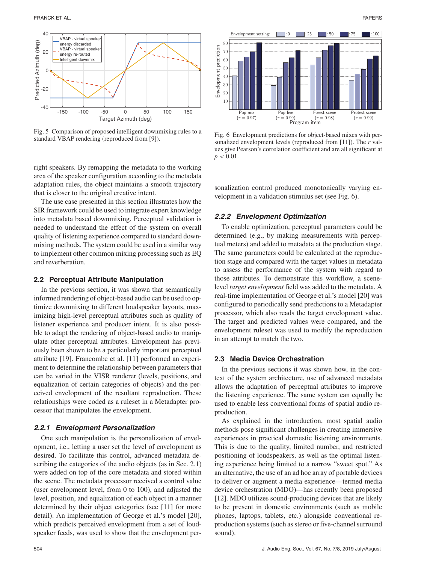

Fig. 5 Comparison of proposed intelligent downmixing rules to a standard VBAP rendering (reproduced from [9]).

right speakers. By remapping the metadata to the working area of the speaker configuration according to the metadata adaptation rules, the object maintains a smooth trajectory that is closer to the original creative intent.

The use case presented in this section illustrates how the SIR framework could be used to integrate expert knowledge into metadata based downmixing. Perceptual validation is needed to understand the effect of the system on overall quality of listening experience compared to standard downmixing methods. The system could be used in a similar way to implement other common mixing processing such as EQ and reverberation.

#### **2.2 Perceptual Attribute Manipulation**

In the previous section, it was shown that semantically informed rendering of object-based audio can be used to optimize downmixing to different loudspeaker layouts, maximizing high-level perceptual attributes such as quality of listener experience and producer intent. It is also possible to adapt the rendering of object-based audio to manipulate other perceptual attributes. Envelopment has previously been shown to be a particularly important perceptual attribute [19]. Francombe et al. [11] performed an experiment to determine the relationship between parameters that can be varied in the VISR renderer (levels, positions, and equalization of certain categories of objects) and the perceived envelopment of the resultant reproduction. These relationships were coded as a ruleset in a Metadapter processor that manipulates the envelopment.

#### **2.2.1 Envelopment Personalization**

One such manipulation is the personalization of envelopment, i.e., letting a user set the level of envelopment as desired. To facilitate this control, advanced metadata describing the categories of the audio objects (as in Sec. 2.1) were added on top of the core metadata and stored within the scene. The metadata processor received a control value (user envelopment level, from 0 to 100), and adjusted the level, position, and equalization of each object in a manner determined by their object categories (see [11] for more detail). An implementation of George et al.'s model [20], which predicts perceived envelopment from a set of loudspeaker feeds, was used to show that the envelopment per-



Fig. 6 Envelopment predictions for object-based mixes with personalized envelopment levels (reproduced from [11]). The *r* values give Pearson's correlation coefficient and are all significant at  $p < 0.01$ .

sonalization control produced monotonically varying envelopment in a validation stimulus set (see Fig. 6).

### **2.2.2 Envelopment Optimization**

To enable optimization, perceptual parameters could be determined (e.g., by making measurements with perceptual meters) and added to metadata at the production stage. The same parameters could be calculated at the reproduction stage and compared with the target values in metadata to assess the performance of the system with regard to those attributes. To demonstrate this workflow, a scenelevel *target envelopment* field was added to the metadata. A real-time implementation of George et al.'s model [20] was configured to periodically send predictions to a Metadapter processor, which also reads the target envelopment value. The target and predicted values were compared, and the envelopment ruleset was used to modify the reproduction in an attempt to match the two.

#### **2.3 Media Device Orchestration**

In the previous sections it was shown how, in the context of the system architecture, use of advanced metadata allows the adaptation of perceptual attributes to improve the listening experience. The same system can equally be used to enable less conventional forms of spatial audio reproduction.

As explained in the introduction, most spatial audio methods pose significant challenges in creating immersive experiences in practical domestic listening environments. This is due to the quality, limited number, and restricted positioning of loudspeakers, as well as the optimal listening experience being limited to a narrow "sweet spot." As an alternative, the use of an ad hoc array of portable devices to deliver or augment a media experience—termed media device orchestration (MDO)—has recently been proposed [12]. MDO utilizes sound-producing devices that are likely to be present in domestic environments (such as mobile phones, laptops, tablets, etc.) alongside conventional reproduction systems (such as stereo or five-channel surround sound).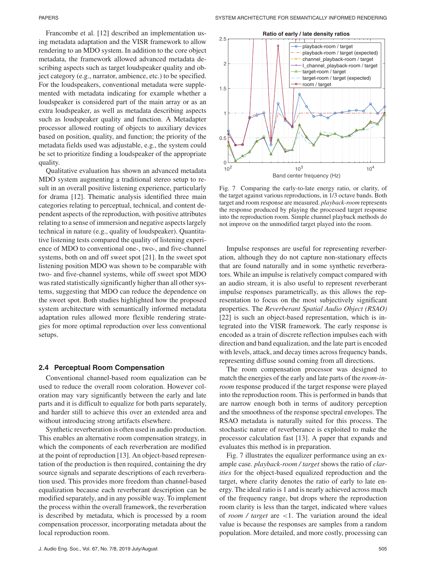Francombe et al. [12] described an implementation using metadata adaptation and the VISR framework to allow rendering to an MDO system. In addition to the core object metadata, the framework allowed advanced metadata describing aspects such as target loudspeaker quality and object category (e.g., narrator, ambience, etc.) to be specified. For the loudspeakers, conventional metadata were supplemented with metadata indicating for example whether a loudspeaker is considered part of the main array or as an extra loudspeaker, as well as metadata describing aspects such as loudspeaker quality and function. A Metadapter processor allowed routing of objects to auxiliary devices based on position, quality, and function; the priority of the metadata fields used was adjustable, e.g., the system could be set to prioritize finding a loudspeaker of the appropriate quality.

Qualitative evaluation has shown an advanced metadata MDO system augmenting a traditional stereo setup to result in an overall positive listening experience, particularly for drama [12]. Thematic analysis identified three main categories relating to perceptual, technical, and content dependent aspects of the reproduction, with positive attributes relating to a sense of immersion and negative aspects largely technical in nature (e.g., quality of loudspeaker). Quantitative listening tests compared the quality of listening experience of MDO to conventional one-, two-, and five-channel systems, both on and off sweet spot [21]. In the sweet spot listening position MDO was shown to be comparable with two- and five-channel systems, while off sweet spot MDO was rated statistically significantly higher than all other systems, suggesting that MDO can reduce the dependence on the sweet spot. Both studies highlighted how the proposed system architecture with semantically informed metadata adaptation rules allowed more flexible rendering strategies for more optimal reproduction over less conventional setups.

#### **2.4 Perceptual Room Compensation**

Conventional channel-based room equalization can be used to reduce the overall room coloration. However coloration may vary significantly between the early and late parts and it is difficult to equalize for both parts separately, and harder still to achieve this over an extended area and without introducing strong artifacts elsewhere.

Synthetic reverberation is often used in audio production. This enables an alternative room compensation strategy, in which the components of each reverberation are modified at the point of reproduction [13]. An object-based representation of the production is then required, containing the dry source signals and separate descriptions of each reverberation used. This provides more freedom than channel-based equalization because each reverberant description can be modified separately, and in any possible way. To implement the process within the overall framework, the reverberation is described by metadata, which is processed by a room compensation processor, incorporating metadata about the local reproduction room.



match the energies of the early and late parts of the *room-inroom* response produced if the target response were played into the reproduction room. This is performed in bands that are narrow enough both in terms of auditory perception and the smoothness of the response spectral envelopes. The RSAO metadata is naturally suited for this process. The stochastic nature of reverberance is exploited to make the processor calculation fast [13]. A paper that expands and evaluates this method is in preparation.

Fig. 7 illustrates the equalizer performance using an example case. *playback-room / target* shows the ratio of *clarities* for the object-based equalized reproduction and the target, where clarity denotes the ratio of early to late energy. The ideal ratio is 1 and is nearly achieved across much of the frequency range, but drops where the reproduction room clarity is less than the target, indicated where values of *room / target* are <1. The variation around the ideal value is because the responses are samples from a random population. More detailed, and more costly, processing can



Fig. 7 Comparing the early-to-late energy ratio, or clarity, of the target against various reproductions, in 1/3 octave bands. Both target and room response are measured. *playback-room* represents the response produced by playing the processed target response into the reproduction room. Simple channel playback methods do not improve on the unmodified target played into the room.

Impulse responses are useful for representing reverberation, although they do not capture non-stationary effects that are found naturally and in some synthetic reverberators. While an impulse is relatively compact compared with an audio stream, it is also useful to represent reverberant impulse responses parametrically, as this allows the representation to focus on the most subjectively significant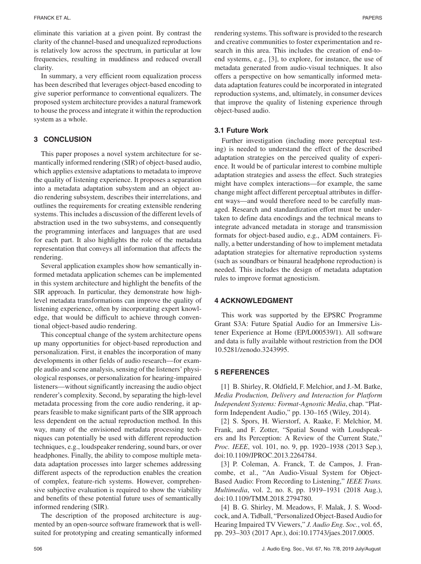eliminate this variation at a given point. By contrast the clarity of the channel-based and unequalized reproductions is relatively low across the spectrum, in particular at low frequencies, resulting in muddiness and reduced overall clarity.

In summary, a very efficient room equalization process has been described that leverages object-based encoding to give superior performance to conventional equalizers. The proposed system architecture provides a natural framework to house the process and integrate it within the reproduction system as a whole.

# **3 CONCLUSION**

This paper proposes a novel system architecture for semantically informed rendering (SIR) of object-based audio, which applies extensive adaptations to metadata to improve the quality of listening experience. It proposes a separation into a metadata adaptation subsystem and an object audio rendering subsystem, describes their interrelations, and outlines the requirements for creating extensible rendering systems. This includes a discussion of the different levels of abstraction used in the two subsystems, and consequently the programming interfaces and languages that are used for each part. It also highlights the role of the metadata representation that conveys all information that affects the rendering.

Several application examples show how semantically informed metadata application schemes can be implemented in this system architecture and highlight the benefits of the SIR approach. In particular, they demonstrate how highlevel metadata transformations can improve the quality of listening experience, often by incorporating expert knowledge, that would be difficult to achieve through conventional object-based audio rendering.

This conceptual change of the system architecture opens up many opportunities for object-based reproduction and personalization. First, it enables the incorporation of many developments in other fields of audio research—for example audio and scene analysis, sensing of the listeners' physiological responses, or personalization for hearing-impaired listeners—without significantly increasing the audio object renderer's complexity. Second, by separating the high-level metadata processing from the core audio rendering, it appears feasible to make significant parts of the SIR approach less dependent on the actual reproduction method. In this way, many of the envisioned metadata processing techniques can potentially be used with different reproduction techniques, e.g., loudspeaker rendering, sound bars, or over headphones. Finally, the ability to compose multiple metadata adaptation processes into larger schemes addressing different aspects of the reproduction enables the creation of complex, feature-rich systems. However, comprehensive subjective evaluation is required to show the viability and benefits of these potential future uses of semantically informed rendering (SIR).

The description of the proposed architecture is augmented by an open-source software framework that is wellsuited for prototyping and creating semantically informed rendering systems. This software is provided to the research and creative communities to foster experimentation and research in this area. This includes the creation of end-toend systems, e.g., [3], to explore, for instance, the use of metadata generated from audio-visual techniques. It also offers a perspective on how semantically informed metadata adaptation features could be incorporated in integrated reproduction systems, and, ultimately, in consumer devices that improve the quality of listening experience through object-based audio.

# **3.1 Future Work**

Further investigation (including more perceptual testing) is needed to understand the effect of the described adaptation strategies on the perceived quality of experience. It would be of particular interest to combine multiple adaptation strategies and assess the effect. Such strategies might have complex interactions—for example, the same change might affect different perceptual attributes in different ways—and would therefore need to be carefully managed. Research and standardization effort must be undertaken to define data encodings and the technical means to integrate advanced metadata in storage and transmission formats for object-based audio, e.g., ADM containers. Finally, a better understanding of how to implement metadata adaptation strategies for alternative reproduction systems (such as soundbars or binaural headphone reproduction) is needed. This includes the design of metadata adaptation rules to improve format agnosticism.

# **4 ACKNOWLEDGMENT**

This work was supported by the EPSRC Programme Grant S3A: Future Spatial Audio for an Immersive Listener Experience at Home (EP/L000539/1). All software and data is fully available without restriction from the DOI 10.5281/zenodo.3243995.

# **5 REFERENCES**

[1] B. Shirley, R. Oldfield, F. Melchior, and J.-M. Batke, *Media Production, Delivery and Interaction for Platform Independent Systems: Format-Agnostic Media*, chap. "Platform Independent Audio," pp. 130–165 (Wiley, 2014).

[2] S. Spors, H. Wierstorf, A. Raake, F. Melchior, M. Frank, and F. Zotter, "Spatial Sound with Loudspeakers and Its Perception: A Review of the Current State," *Proc. IEEE*, vol. 101, no. 9, pp. 1920–1938 (2013 Sep.), doi:10.1109/JPROC.2013.2264784.

[3] P. Coleman, A. Franck, T. de Campos, J. Francombe, et al., "An Audio-Visual System for Object-Based Audio: From Recording to Listening," *IEEE Trans. Multimedia*, vol. 2, no. 8, pp. 1919–1931 (2018 Aug.), doi:10.1109/TMM.2018.2794780.

[4] B. G. Shirley, M. Meadows, F. Malak, J. S. Woodcock, and A. Tidball, "Personalized Object-Based Audio for Hearing Impaired TV Viewers," *J. Audio Eng. Soc.*, vol. 65, pp. 293–303 (2017 Apr.), doi:10.17743/jaes.2017.0005.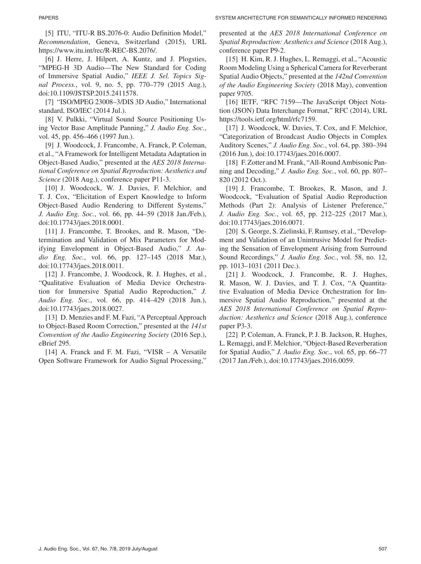[5] ITU, "ITU-R BS.2076-0: Audio Definition Model," *Recommendation*, Geneva, Switzerland (2015), URL https://www.itu.int/rec/R-REC-BS.2076/.

[6] J. Herre, J. Hilpert, A. Kuntz, and J. Plogsties, "MPEG-H 3D Audio—The New Standard for Coding of Immersive Spatial Audio," *IEEE J. Sel. Topics Signal Process.*, vol. 9, no. 5, pp. 770–779 (2015 Aug.), doi:10.1109/JSTSP.2015.2411578.

[7] "ISO/MPEG 23008–3/DIS 3D Audio," International standard, ISO/IEC (2014 Jul.).

[8] V. Pulkki, "Virtual Sound Source Positioning Using Vector Base Amplitude Panning," *J. Audio Eng. Soc.*, vol. 45, pp. 456–466 (1997 Jun.).

[9] J. Woodcock, J. Francombe, A. Franck, P. Coleman, et al., "A Framework for Intelligent Metadata Adaptation in Object-Based Audio," presented at the *AES 2018 International Conference on Spatial Reproduction: Aesthetics and Science* (2018 Aug.), conference paper P11-3.

[10] J. Woodcock, W. J. Davies, F. Melchior, and T. J. Cox, "Elicitation of Expert Knowledge to Inform Object-Based Audio Rendering to Different Systems," *J. Audio Eng. Soc.*, vol. 66, pp. 44–59 (2018 Jan./Feb.), doi:10.17743/jaes.2018.0001.

[11] J. Francombe, T. Brookes, and R. Mason, "Determination and Validation of Mix Parameters for Modifying Envelopment in Object-Based Audio," *J. Audio Eng. Soc.*, vol. 66, pp. 127–145 (2018 Mar.), doi:10.17743/jaes.2018.0011.

[12] J. Francombe, J. Woodcock, R. J. Hughes, et al., "Qualitative Evaluation of Media Device Orchestration for Immersive Spatial Audio Reproduction," *J. Audio Eng. Soc.*, vol. 66, pp. 414–429 (2018 Jun.), doi:10.17743/jaes.2018.0027.

[13] D. Menzies and F. M. Fazi, "A Perceptual Approach to Object-Based Room Correction," presented at the *141st Convention of the Audio Engineering Society* (2016 Sep.), eBrief 295.

[14] A. Franck and F. M. Fazi, "VISR – A Versatile Open Software Framework for Audio Signal Processing,"

presented at the *AES 2018 International Conference on Spatial Reproduction: Aesthetics and Science* (2018 Aug.), conference paper P9-2.

[15] H. Kim, R. J. Hughes, L. Remaggi, et al., "Acoustic Room Modeling Using a Spherical Camera for Reverberant Spatial Audio Objects," presented at the *142nd Convention of the Audio Engineering Society* (2018 May), convention paper 9705.

[16] IETF, "RFC 7159—The JavaScript Object Notation (JSON) Data Interchange Format," RFC (2014), URL https://tools.ietf.org/html/rfc7159.

[17] J. Woodcock, W. Davies, T. Cox, and F. Melchior, "Categorization of Broadcast Audio Objects in Complex Auditory Scenes," *J. Audio Eng. Soc.*, vol. 64, pp. 380–394 (2016 Jun.), doi:10.17743/jaes.2016.0007.

[18] F. Zotter and M. Frank, "All-Round Ambisonic Panning and Decoding," *J. Audio Eng. Soc.*, vol. 60, pp. 807– 820 (2012 Oct.).

[19] J. Francombe, T. Brookes, R. Mason, and J. Woodcock, "Evaluation of Spatial Audio Reproduction Methods (Part 2): Analysis of Listener Preference," *J. Audio Eng. Soc.*, vol. 65, pp. 212–225 (2017 Mar.), doi:10.17743/jaes.2016.0071.

[20] S. George, S. Zielinski, F. Rumsey, et al., "Development and Validation of an Unintrusive Model for Predicting the Sensation of Envelopment Arising from Surround Sound Recordings," *J. Audio Eng. Soc.*, vol. 58, no. 12, pp. 1013–1031 (2011 Dec.).

[21] J. Woodcock, J. Francombe, R. J. Hughes, R. Mason, W. J. Davies, and T. J. Cox, "A Quantitative Evaluation of Media Device Orchestration for Immersive Spatial Audio Reproduction," presented at the *AES 2018 International Conference on Spatial Reproduction: Aesthetics and Science* (2018 Aug.), conference paper P3-3.

[22] P. Coleman, A. Franck, P. J. B. Jackson, R. Hughes, L. Remaggi, and F. Melchior, "Object-Based Reverberation for Spatial Audio," *J. Audio Eng. Soc.*, vol. 65, pp. 66–77 (2017 Jan./Feb.), doi:10.17743/jaes.2016.0059.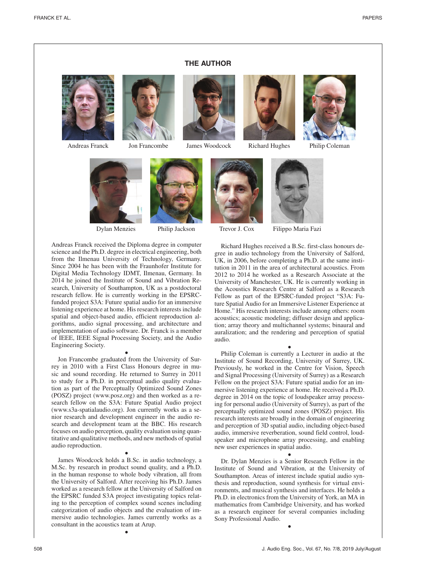



Engineering Society.

audio reproduction.





**THE AUTHOR**











Andreas Franck received the Diploma degree in computer science and the Ph.D. degree in electrical engineering, both from the Ilmenau University of Technology, Germany. Since 2004 he has been with the Fraunhofer Institute for Digital Media Technology IDMT, Ilmenau, Germany. In 2014 he joined the Institute of Sound and Vibration Research, University of Southampton, UK as a postdoctoral research fellow. He is currently working in the EPSRCfunded project S3A: Future spatial audio for an immersive listening experience at home. His research interests include spatial and object-based audio, efficient reproduction algorithms, audio signal processing, and architecture and implementation of audio software. Dr. Franck is a member of IEEE, IEEE Signal Processing Society, and the Audio Richard Hughes received a B.Sc. first-class honours degree in audio technology from the University of Salford, UK, in 2006, before completing a Ph.D. at the same institution in 2011 in the area of architectural acoustics. From 2012 to 2014 he worked as a Research Associate at the University of Manchester, UK. He is currently working in the Acoustics Research Centre at Salford as a Research Fellow as part of the EPSRC-funded project "S3A: Future Spatial Audio for an Immersive Listener Experience at Home." His research interests include among others: room acoustics; acoustic modeling; diffuser design and application; array theory and multichannel systems; binaural and auralization; and the rendering and perception of spatial audio.

> • Philip Coleman is currently a Lecturer in audio at the Institute of Sound Recording, University of Surrey, UK. Previously, he worked in the Centre for Vision, Speech and Signal Processing (University of Surrey) as a Research Fellow on the project S3A: Future spatial audio for an immersive listening experience at home. He received a Ph.D. degree in 2014 on the topic of loudspeaker array processing for personal audio (University of Surrey), as part of the perceptually optimized sound zones (POSZ) project. His research interests are broadly in the domain of engineering and perception of 3D spatial audio, including object-based audio, immersive reverberation, sound field control, loudspeaker and microphone array processing, and enabling new user experiences in spatial audio.

• Dr. Dylan Menzies is a Senior Research Fellow in the Institute of Sound and Vibration, at the University of Southampton. Areas of interest include spatial audio synthesis and reproduction, sound synthesis for virtual environments, and musical synthesis and interfaces. He holds a Ph.D. in electronics from the University of York, an MA in mathematics from Cambridge University, and has worked as a research engineer for several companies including Sony Professional Audio.

search and development team at the BBC. His research focuses on audio perception, quality evaluation using quantitative and qualitative methods, and new methods of spatial

• James Woodcock holds a B.Sc. in audio technology, a M.Sc. by research in product sound quality, and a Ph.D. in the human response to whole body vibration, all from the University of Salford. After receiving his Ph.D. James worked as a research fellow at the University of Salford on the EPSRC funded S3A project investigating topics relating to the perception of complex sound scenes including categorization of audio objects and the evaluation of immersive audio technologies. James currently works as a consultant in the acoustics team at Arup.

•

• Jon Francombe graduated from the University of Surrey in 2010 with a First Class Honours degree in music and sound recording. He returned to Surrey in 2011 to study for a Ph.D. in perceptual audio quality evaluation as part of the Perceptually Optimized Sound Zones (POSZ) project (www.posz.org) and then worked as a research fellow on the S3A: Future Spatial Audio project (www.s3a-spatialaudio.org). Jon currently works as a senior research and development engineer in the audio re-

•